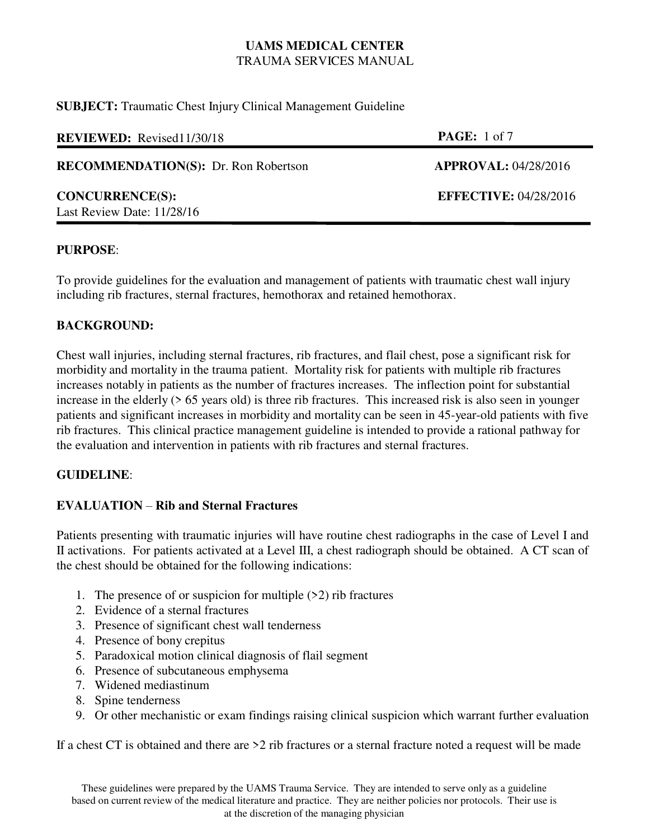**SUBJECT:** Traumatic Chest Injury Clinical Management Guideline

| <b>REVIEWED:</b> Revised11/30/18                     | <b>PAGE:</b> 1 of 7          |
|------------------------------------------------------|------------------------------|
| <b>RECOMMENDATION(S):</b> Dr. Ron Robertson          | <b>APPROVAL: 04/28/2016</b>  |
| <b>CONCURRENCE(S):</b><br>Last Review Date: 11/28/16 | <b>EFFECTIVE: 04/28/2016</b> |

### **PURPOSE**:

To provide guidelines for the evaluation and management of patients with traumatic chest wall injury including rib fractures, sternal fractures, hemothorax and retained hemothorax.

## **BACKGROUND:**

Chest wall injuries, including sternal fractures, rib fractures, and flail chest, pose a significant risk for morbidity and mortality in the trauma patient. Mortality risk for patients with multiple rib fractures increases notably in patients as the number of fractures increases. The inflection point for substantial increase in the elderly (> 65 years old) is three rib fractures. This increased risk is also seen in younger patients and significant increases in morbidity and mortality can be seen in 45-year-old patients with five rib fractures. This clinical practice management guideline is intended to provide a rational pathway for the evaluation and intervention in patients with rib fractures and sternal fractures.

## **GUIDELINE**:

## **EVALUATION** – **Rib and Sternal Fractures**

Patients presenting with traumatic injuries will have routine chest radiographs in the case of Level I and II activations. For patients activated at a Level III, a chest radiograph should be obtained. A CT scan of the chest should be obtained for the following indications:

- 1. The presence of or suspicion for multiple  $(22)$  rib fractures
- 2. Evidence of a sternal fractures
- 3. Presence of significant chest wall tenderness
- 4. Presence of bony crepitus
- 5. Paradoxical motion clinical diagnosis of flail segment
- 6. Presence of subcutaneous emphysema
- 7. Widened mediastinum
- 8. Spine tenderness
- 9. Or other mechanistic or exam findings raising clinical suspicion which warrant further evaluation

If a chest CT is obtained and there are  $>2$  rib fractures or a sternal fracture noted a request will be made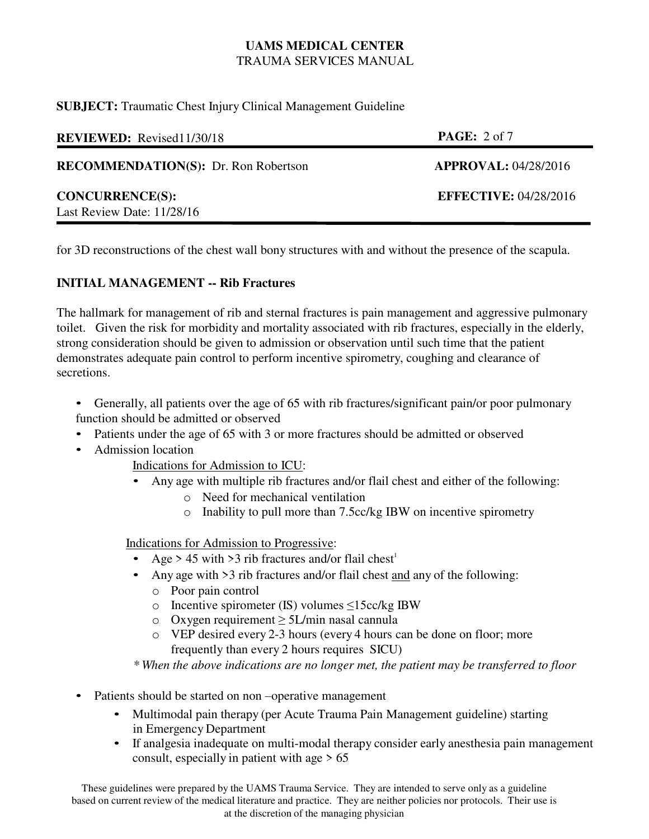**SUBJECT:** Traumatic Chest Injury Clinical Management Guideline

| <b>REVIEWED:</b> Revised11/30/18                     | <b>PAGE:</b> $2 \text{ of } 7$ |
|------------------------------------------------------|--------------------------------|
| <b>RECOMMENDATION(S):</b> Dr. Ron Robertson          | <b>APPROVAL: 04/28/2016</b>    |
| <b>CONCURRENCE(S):</b><br>Last Review Date: 11/28/16 | <b>EFFECTIVE: 04/28/2016</b>   |

for 3D reconstructions of the chest wall bony structures with and without the presence of the scapula.

# **INITIAL MANAGEMENT -- Rib Fractures**

The hallmark for management of rib and sternal fractures is pain management and aggressive pulmonary toilet. Given the risk for morbidity and mortality associated with rib fractures, especially in the elderly, strong consideration should be given to admission or observation until such time that the patient demonstrates adequate pain control to perform incentive spirometry, coughing and clearance of secretions.

• Generally, all patients over the age of 65 with rib fractures/significant pain/or poor pulmonary function should be admitted or observed

- Patients under the age of 65 with 3 or more fractures should be admitted or observed
- Admission location

Indications for Admission to ICU:

- Any age with multiple rib fractures and/or flail chest and either of the following:
	- o Need for mechanical ventilation
	- o Inability to pull more than 7.5cc/kg IBW on incentive spirometry

Indications for Admission to Progressive:

- Age > 45 with > 3 rib fractures and/or flail chest<sup>1</sup>
- Any age with >3 rib fractures and/or flail chest and any of the following:
	- o Poor pain control
	- o Incentive spirometer (IS) volumes ≤15cc/kg IBW
	- o Oxygen requirement ≥ 5L/min nasal cannula
	- o VEP desired every 2-3 hours (every 4 hours can be done on floor; more frequently than every 2 hours requires SICU)

*\* When the above indications are no longer met, the patient may be transferred to floor*

- Patients should be started on non-operative management
	- Multimodal pain therapy (per Acute Trauma Pain Management guideline) starting in Emergency Department
	- If analgesia inadequate on multi-modal therapy consider early anesthesia pain management consult, especially in patient with age  $> 65$

These guidelines were prepared by the UAMS Trauma Service. They are intended to serve only as a guideline based on current review of the medical literature and practice. They are neither policies nor protocols. Their use is at the discretion of the managing physician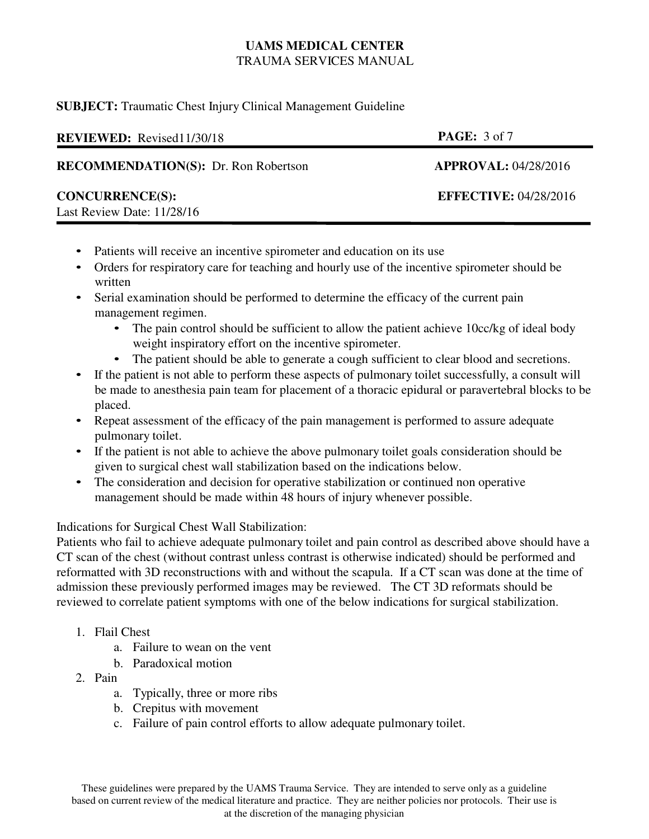## **SUBJECT:** Traumatic Chest Injury Clinical Management Guideline

| <b>REVIEWED:</b> Revised11/30/18                     | <b>PAGE:</b> $3 \text{ of } 7$ |
|------------------------------------------------------|--------------------------------|
| <b>RECOMMENDATION(S):</b> Dr. Ron Robertson          | <b>APPROVAL: 04/28/2016</b>    |
| <b>CONCURRENCE(S):</b><br>Last Review Date: 11/28/16 | <b>EFFECTIVE: 04/28/2016</b>   |

- Patients will receive an incentive spirometer and education on its use
- Orders for respiratory care for teaching and hourly use of the incentive spirometer should be written
- Serial examination should be performed to determine the efficacy of the current pain management regimen.
	- The pain control should be sufficient to allow the patient achieve 10cc/kg of ideal body weight inspiratory effort on the incentive spirometer.
	- The patient should be able to generate a cough sufficient to clear blood and secretions.
- If the patient is not able to perform these aspects of pulmonary toilet successfully, a consult will be made to anesthesia pain team for placement of a thoracic epidural or paravertebral blocks to be placed.
- Repeat assessment of the efficacy of the pain management is performed to assure adequate pulmonary toilet.
- If the patient is not able to achieve the above pulmonary toilet goals consideration should be given to surgical chest wall stabilization based on the indications below.
- The consideration and decision for operative stabilization or continued non operative management should be made within 48 hours of injury whenever possible.

## Indications for Surgical Chest Wall Stabilization:

Patients who fail to achieve adequate pulmonary toilet and pain control as described above should have a CT scan of the chest (without contrast unless contrast is otherwise indicated) should be performed and reformatted with 3D reconstructions with and without the scapula. If a CT scan was done at the time of admission these previously performed images may be reviewed. The CT 3D reformats should be reviewed to correlate patient symptoms with one of the below indications for surgical stabilization.

- 1. Flail Chest
	- a. Failure to wean on the vent
	- b. Paradoxical motion
- 2. Pain
	- a. Typically, three or more ribs
	- b. Crepitus with movement
	- c. Failure of pain control efforts to allow adequate pulmonary toilet.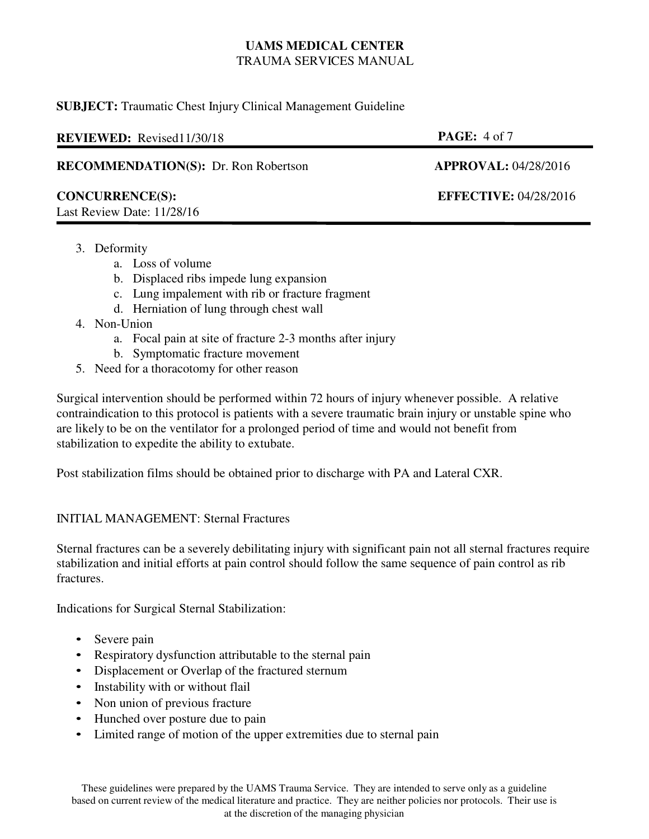## **SUBJECT:** Traumatic Chest Injury Clinical Management Guideline

| <b>REVIEWED:</b> Revised11/30/18                       | <b>PAGE:</b> $4 \text{ of } 7$ |
|--------------------------------------------------------|--------------------------------|
| <b>RECOMMENDATION(S):</b> Dr. Ron Robertson            | <b>APPROVAL: 04/28/2016</b>    |
| <b>CONCURRENCE(S):</b><br>Last Review Date: $11/28/16$ | <b>EFFECTIVE: 04/28/2016</b>   |

- 3. Deformity
	- a. Loss of volume
	- b. Displaced ribs impede lung expansion
	- c. Lung impalement with rib or fracture fragment
	- d. Herniation of lung through chest wall
- 4. Non-Union
	- a. Focal pain at site of fracture 2-3 months after injury
	- b. Symptomatic fracture movement
- 5. Need for a thoracotomy for other reason

Surgical intervention should be performed within 72 hours of injury whenever possible. A relative contraindication to this protocol is patients with a severe traumatic brain injury or unstable spine who are likely to be on the ventilator for a prolonged period of time and would not benefit from stabilization to expedite the ability to extubate.

Post stabilization films should be obtained prior to discharge with PA and Lateral CXR.

## INITIAL MANAGEMENT: Sternal Fractures

Sternal fractures can be a severely debilitating injury with significant pain not all sternal fractures require stabilization and initial efforts at pain control should follow the same sequence of pain control as rib fractures.

Indications for Surgical Sternal Stabilization:

- Severe pain
- Respiratory dysfunction attributable to the sternal pain
- Displacement or Overlap of the fractured sternum
- Instability with or without flail
- Non union of previous fracture
- Hunched over posture due to pain
- Limited range of motion of the upper extremities due to sternal pain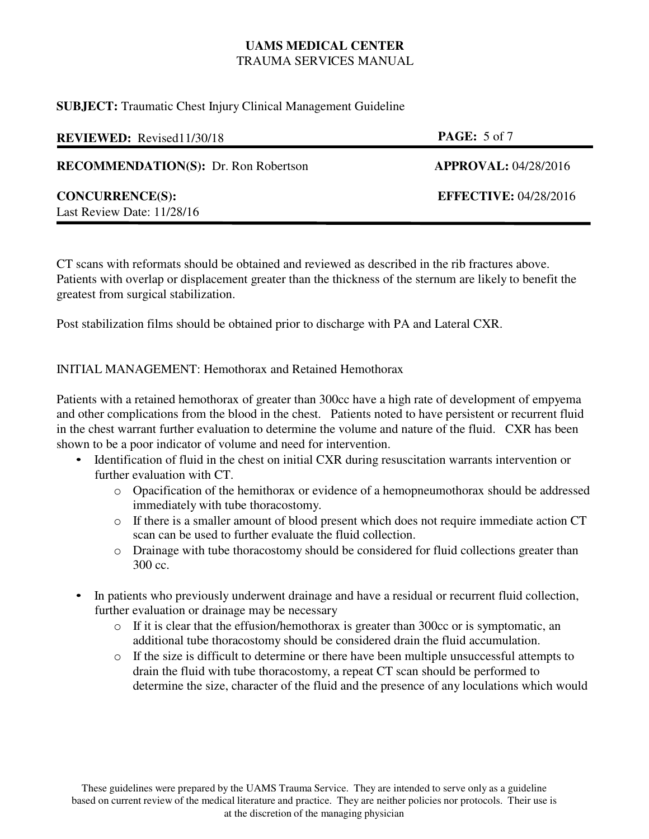### **SUBJECT:** Traumatic Chest Injury Clinical Management Guideline

| <b>REVIEWED:</b> Revised11/30/18                       | <b>PAGE:</b> 5 of 7          |
|--------------------------------------------------------|------------------------------|
| <b>RECOMMENDATION(S):</b> Dr. Ron Robertson            | <b>APPROVAL: 04/28/2016</b>  |
| <b>CONCURRENCE(S):</b><br>Last Review Date: $11/28/16$ | <b>EFFECTIVE: 04/28/2016</b> |

CT scans with reformats should be obtained and reviewed as described in the rib fractures above. Patients with overlap or displacement greater than the thickness of the sternum are likely to benefit the greatest from surgical stabilization.

Post stabilization films should be obtained prior to discharge with PA and Lateral CXR.

# INITIAL MANAGEMENT: Hemothorax and Retained Hemothorax

Patients with a retained hemothorax of greater than 300cc have a high rate of development of empyema and other complications from the blood in the chest. Patients noted to have persistent or recurrent fluid in the chest warrant further evaluation to determine the volume and nature of the fluid. CXR has been shown to be a poor indicator of volume and need for intervention.

- Identification of fluid in the chest on initial CXR during resuscitation warrants intervention or further evaluation with CT.
	- o Opacification of the hemithorax or evidence of a hemopneumothorax should be addressed immediately with tube thoracostomy.
	- o If there is a smaller amount of blood present which does not require immediate action CT scan can be used to further evaluate the fluid collection.
	- o Drainage with tube thoracostomy should be considered for fluid collections greater than 300 cc.
- In patients who previously underwent drainage and have a residual or recurrent fluid collection, further evaluation or drainage may be necessary
	- o If it is clear that the effusion/hemothorax is greater than 300cc or is symptomatic, an additional tube thoracostomy should be considered drain the fluid accumulation.
	- $\circ$  If the size is difficult to determine or there have been multiple unsuccessful attempts to drain the fluid with tube thoracostomy, a repeat CT scan should be performed to determine the size, character of the fluid and the presence of any loculations which would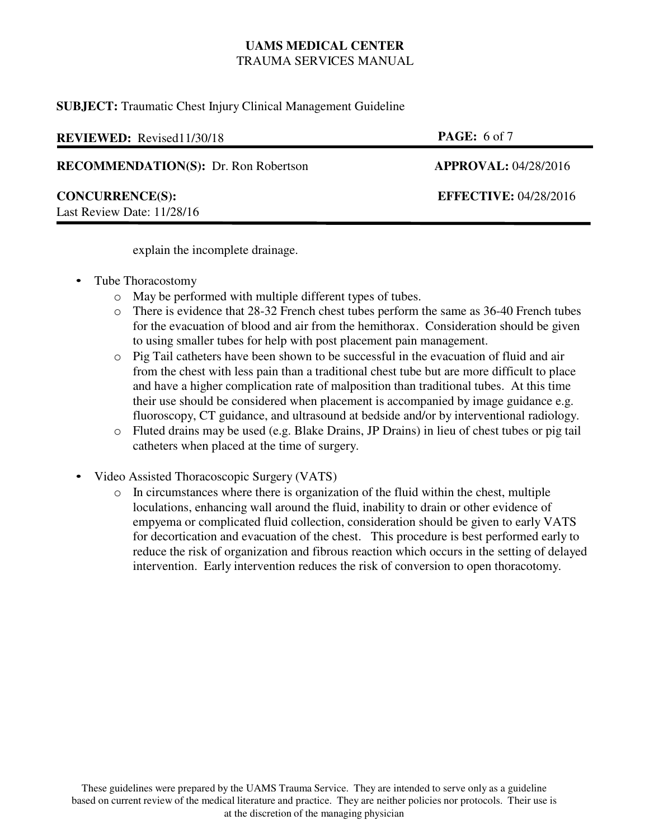**SUBJECT:** Traumatic Chest Injury Clinical Management Guideline

| <b>REVIEWED:</b> Revised11/30/18            | <b>PAGE:</b> 6 of 7          |
|---------------------------------------------|------------------------------|
| <b>RECOMMENDATION(S):</b> Dr. Ron Robertson | APPROVAL: 04/28/2016         |
| <b>CONCURRENCE(S):</b>                      | <b>EFFECTIVE: 04/28/2016</b> |

explain the incomplete drainage.

• Tube Thoracostomy

Last Review Date: 11/28/16

- o May be performed with multiple different types of tubes.
- o There is evidence that 28-32 French chest tubes perform the same as 36-40 French tubes for the evacuation of blood and air from the hemithorax. Consideration should be given to using smaller tubes for help with post placement pain management.
- o Pig Tail catheters have been shown to be successful in the evacuation of fluid and air from the chest with less pain than a traditional chest tube but are more difficult to place and have a higher complication rate of malposition than traditional tubes. At this time their use should be considered when placement is accompanied by image guidance e.g. fluoroscopy, CT guidance, and ultrasound at bedside and/or by interventional radiology.
- o Fluted drains may be used (e.g. Blake Drains, JP Drains) in lieu of chest tubes or pig tail catheters when placed at the time of surgery.
- Video Assisted Thoracoscopic Surgery (VATS)
	- o In circumstances where there is organization of the fluid within the chest, multiple loculations, enhancing wall around the fluid, inability to drain or other evidence of empyema or complicated fluid collection, consideration should be given to early VATS for decortication and evacuation of the chest. This procedure is best performed early to reduce the risk of organization and fibrous reaction which occurs in the setting of delayed intervention. Early intervention reduces the risk of conversion to open thoracotomy.